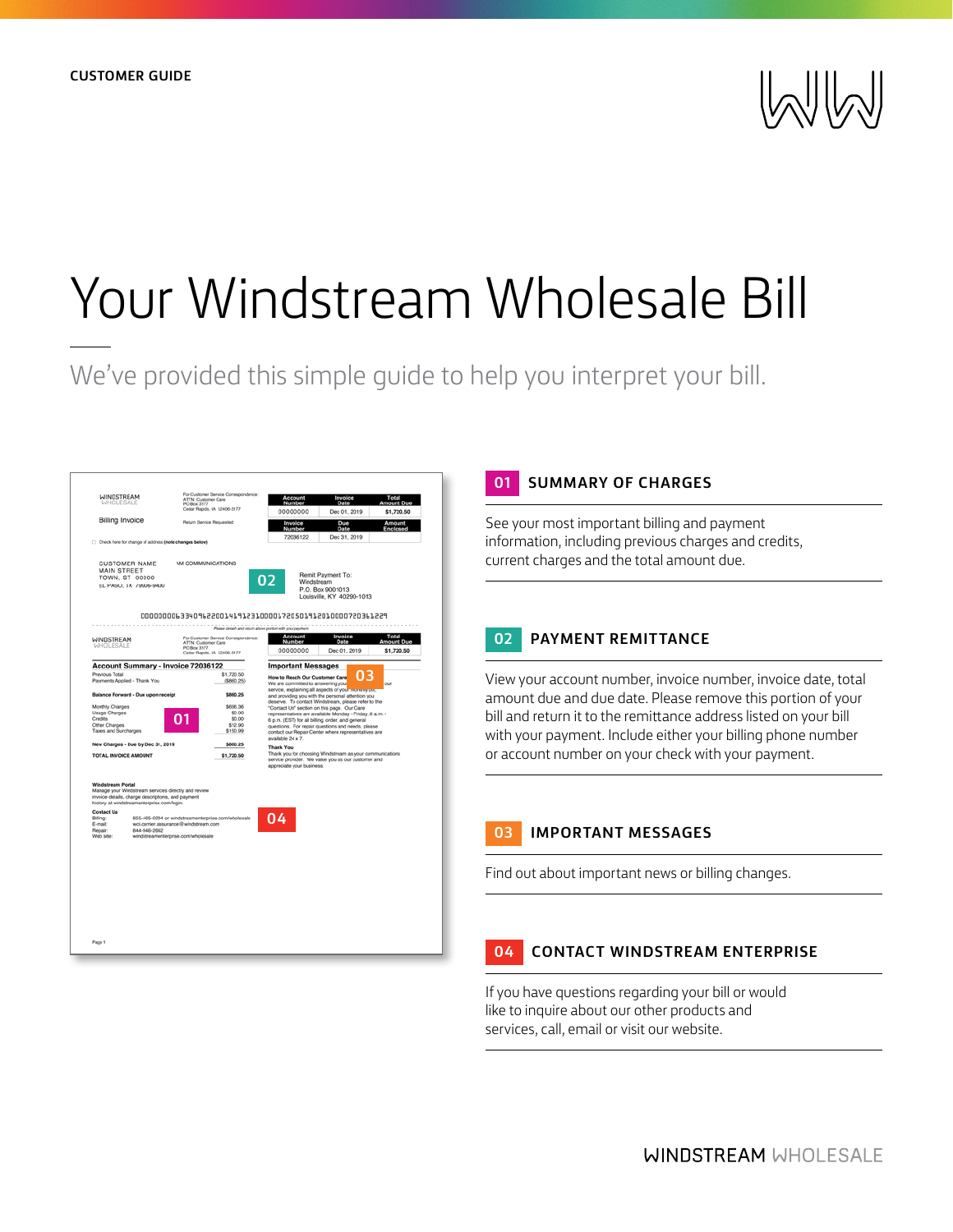

# Your Windstream Wholesale Bill

We've provided this simple quide to help you interpret your bill.



## **01 SUMMARY OF CHARGES**

See your most important billing and payment information, including previous charges and credits, current charges and the total amount due.

## **02 PAYMENT REMITTANCE**

View your account number, invoice number, invoice date, total amount due and due date. Please remove this portion of your bill and return it to the remittance address listed on your bill with your payment. Include either your billing phone number or account number on your check with your payment.

## **03 IMPORTANT MESSAGES**

Find out about important news or billing changes.

### **04 CONTACT WINDSTREAM ENTERPRISE**

If you have questions regarding your bill or would like to inquire about our other products and services, call, email or visit our website.